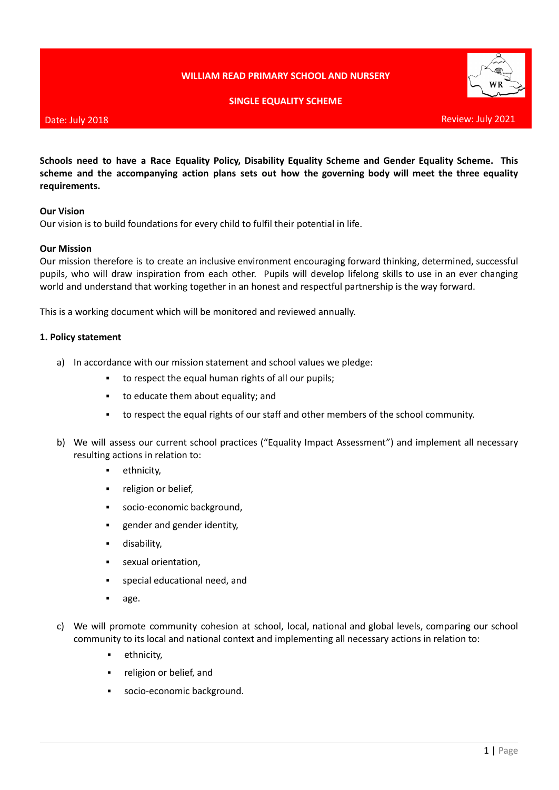## **WILLIAM READ PRIMARY SCHOOL AND NURSERY**

### **SINGLE EQUALITY SCHEME**



#### Date: July 2018

**Schools need to have a Race Equality Policy, Disability Equality Scheme and Gender Equality Scheme. This scheme and the accompanying action plans sets out how the governing body will meet the three equality requirements.**

#### **Our Vision**

Our vision is to build foundations for every child to fulfil their potential in life.

#### **Our Mission**

Our mission therefore is to create an inclusive environment encouraging forward thinking, determined, successful pupils, who will draw inspiration from each other. Pupils will develop lifelong skills to use in an ever changing world and understand that working together in an honest and respectful partnership is the way forward.

This is a working document which will be monitored and reviewed annually.

#### **1. Policy statement**

- a) In accordance with our mission statement and school values we pledge:
	- to respect the equal human rights of all our pupils;
	- to educate them about equality; and
	- to respect the equal rights of our staff and other members of the school community.
- b) We will assess our current school practices ("Equality Impact Assessment") and implement all necessary resulting actions in relation to:
	- **•** ethnicity,
	- **·** religion or belief,
	- socio-economic background,
	- **■** gender and gender identity,
	- disability,
	- sexual orientation,
	- special educational need, and
	- age.
- c) We will promote community cohesion at school, local, national and global levels, comparing our school community to its local and national context and implementing all necessary actions in relation to:
	- **·** ethnicity,
	- religion or belief, and
	- socio-economic background.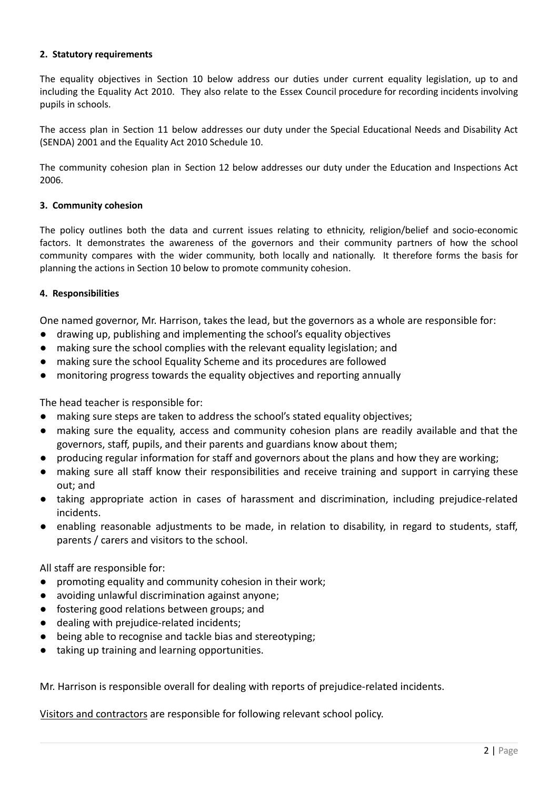## **2. Statutory requirements**

The equality objectives in Section 10 below address our duties under current equality legislation, up to and including the Equality Act 2010. They also relate to the Essex Council procedure for recording incidents involving pupils in schools.

The access plan in Section 11 below addresses our duty under the Special Educational Needs and Disability Act (SENDA) 2001 and the Equality Act 2010 Schedule 10.

The community cohesion plan in Section 12 below addresses our duty under the Education and Inspections Act 2006.

## **3. Community cohesion**

The policy outlines both the data and current issues relating to ethnicity, religion/belief and socio-economic factors. It demonstrates the awareness of the governors and their community partners of how the school community compares with the wider community, both locally and nationally. It therefore forms the basis for planning the actions in Section 10 below to promote community cohesion.

## **4. Responsibilities**

One named governor, Mr. Harrison, takes the lead, but the governors as a whole are responsible for:

- drawing up, publishing and implementing the school's equality objectives
- making sure the school complies with the relevant equality legislation; and
- making sure the school Equality Scheme and its procedures are followed
- monitoring progress towards the equality objectives and reporting annually

The head teacher is responsible for:

- making sure steps are taken to address the school's stated equality objectives;
- making sure the equality, access and community cohesion plans are readily available and that the governors, staff, pupils, and their parents and guardians know about them;
- producing regular information for staff and governors about the plans and how they are working;
- making sure all staff know their responsibilities and receive training and support in carrying these out; and
- taking appropriate action in cases of harassment and discrimination, including prejudice-related incidents.
- enabling reasonable adjustments to be made, in relation to disability, in regard to students, staff, parents / carers and visitors to the school.

All staff are responsible for:

- promoting equality and community cohesion in their work;
- avoiding unlawful discrimination against anyone;
- fostering good relations between groups; and
- dealing with prejudice-related incidents;
- being able to recognise and tackle bias and stereotyping;
- taking up training and learning opportunities.

Mr. Harrison is responsible overall for dealing with reports of prejudice-related incidents.

Visitors and contractors are responsible for following relevant school policy.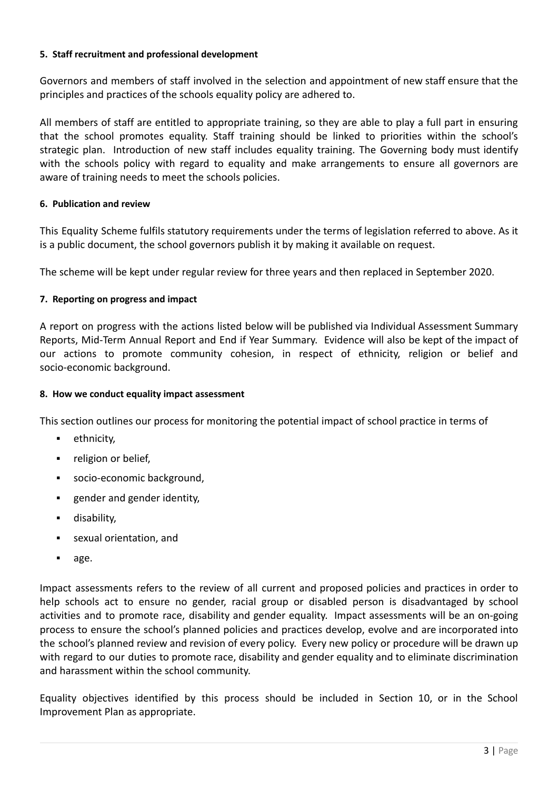# **5. Staff recruitment and professional development**

Governors and members of staff involved in the selection and appointment of new staff ensure that the principles and practices of the schools equality policy are adhered to.

All members of staff are entitled to appropriate training, so they are able to play a full part in ensuring that the school promotes equality. Staff training should be linked to priorities within the school's strategic plan. Introduction of new staff includes equality training. The Governing body must identify with the schools policy with regard to equality and make arrangements to ensure all governors are aware of training needs to meet the schools policies.

## **6. Publication and review**

This Equality Scheme fulfils statutory requirements under the terms of legislation referred to above. As it is a public document, the school governors publish it by making it available on request.

The scheme will be kept under regular review for three years and then replaced in September 2020.

## **7. Reporting on progress and impact**

A report on progress with the actions listed below will be published via Individual Assessment Summary Reports, Mid-Term Annual Report and End if Year Summary. Evidence will also be kept of the impact of our actions to promote community cohesion, in respect of ethnicity, religion or belief and socio-economic background.

# **8. How we conduct equality impact assessment**

This section outlines our process for monitoring the potential impact of school practice in terms of

- **·** ethnicity.
- religion or belief,
- socio-economic background,
- gender and gender identity.
- **■** disability,
- sexual orientation, and
- age.

Impact assessments refers to the review of all current and proposed policies and practices in order to help schools act to ensure no gender, racial group or disabled person is disadvantaged by school activities and to promote race, disability and gender equality. Impact assessments will be an on-going process to ensure the school's planned policies and practices develop, evolve and are incorporated into the school's planned review and revision of every policy. Every new policy or procedure will be drawn up with regard to our duties to promote race, disability and gender equality and to eliminate discrimination and harassment within the school community.

Equality objectives identified by this process should be included in Section 10, or in the School Improvement Plan as appropriate.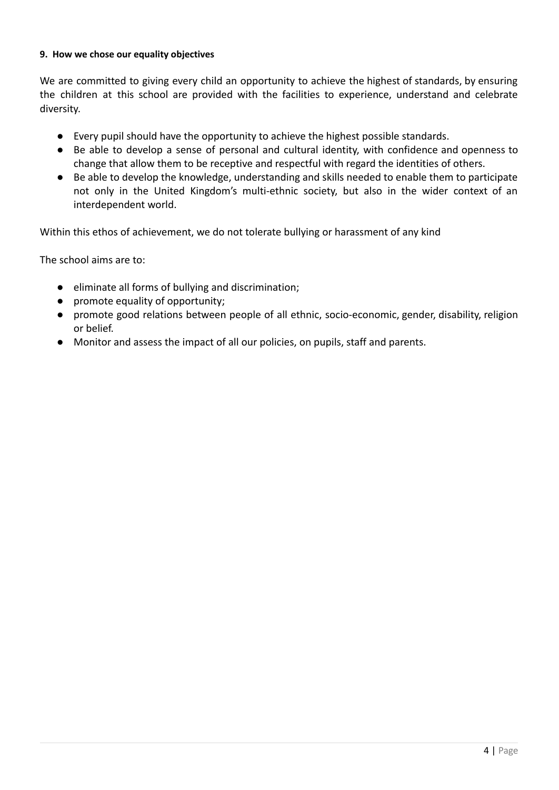## **9. How we chose our equality objectives**

We are committed to giving every child an opportunity to achieve the highest of standards, by ensuring the children at this school are provided with the facilities to experience, understand and celebrate diversity.

- Every pupil should have the opportunity to achieve the highest possible standards.
- Be able to develop a sense of personal and cultural identity, with confidence and openness to change that allow them to be receptive and respectful with regard the identities of others.
- Be able to develop the knowledge, understanding and skills needed to enable them to participate not only in the United Kingdom's multi-ethnic society, but also in the wider context of an interdependent world.

Within this ethos of achievement, we do not tolerate bullying or harassment of any kind

The school aims are to:

- eliminate all forms of bullying and discrimination;
- promote equality of opportunity;
- promote good relations between people of all ethnic, socio-economic, gender, disability, religion or belief.
- Monitor and assess the impact of all our policies, on pupils, staff and parents.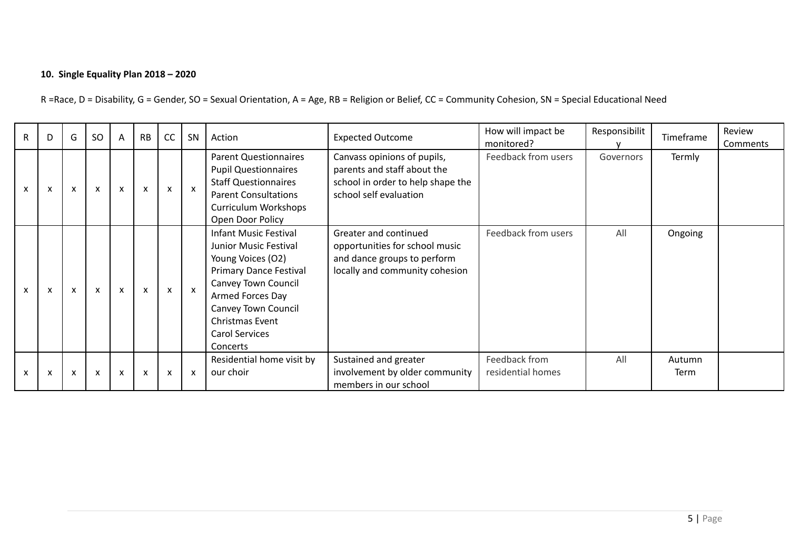# **10. Single Equality Plan 2018 – 2020**

R =Race, D = Disability, G = Gender, SO = Sexual Orientation, A = Age, RB = Religion or Belief, CC = Community Cohesion, SN = Special Educational Need

| R                         | D                         | G            | SO                        | A                         | RB           | CC           | SN                        | Action                                                                                                                                                                                                                                | <b>Expected Outcome</b>                                                                                                   | How will impact be<br>monitored?   | Responsibilit | Timeframe      | Review<br>Comments |
|---------------------------|---------------------------|--------------|---------------------------|---------------------------|--------------|--------------|---------------------------|---------------------------------------------------------------------------------------------------------------------------------------------------------------------------------------------------------------------------------------|---------------------------------------------------------------------------------------------------------------------------|------------------------------------|---------------|----------------|--------------------|
| $\boldsymbol{\mathsf{x}}$ | $\boldsymbol{\mathsf{x}}$ | $\mathsf{x}$ | $\boldsymbol{\mathsf{x}}$ | $\boldsymbol{\mathsf{x}}$ | X            | X            | $\boldsymbol{\mathsf{x}}$ | <b>Parent Questionnaires</b><br><b>Pupil Questionnaires</b><br><b>Staff Questionnaires</b><br><b>Parent Consultations</b><br>Curriculum Workshops<br>Open Door Policy                                                                 | Canvass opinions of pupils,<br>parents and staff about the<br>school in order to help shape the<br>school self evaluation | Feedback from users                | Governors     | Termly         |                    |
| X                         | X                         | $\mathsf{x}$ | X                         | $\boldsymbol{\mathsf{x}}$ | $\mathsf{x}$ | $\mathsf{x}$ | $\boldsymbol{\mathsf{x}}$ | <b>Infant Music Festival</b><br>Junior Music Festival<br>Young Voices (O2)<br><b>Primary Dance Festival</b><br>Canvey Town Council<br>Armed Forces Day<br>Canvey Town Council<br>Christmas Event<br><b>Carol Services</b><br>Concerts | Greater and continued<br>opportunities for school music<br>and dance groups to perform<br>locally and community cohesion  | Feedback from users                | All           | Ongoing        |                    |
| X                         | $\boldsymbol{\mathsf{x}}$ | $\mathsf{x}$ | $\boldsymbol{\mathsf{x}}$ | $\boldsymbol{\mathsf{x}}$ | X            | X            | $\boldsymbol{\mathsf{x}}$ | Residential home visit by<br>our choir                                                                                                                                                                                                | Sustained and greater<br>involvement by older community<br>members in our school                                          | Feedback from<br>residential homes | All           | Autumn<br>Term |                    |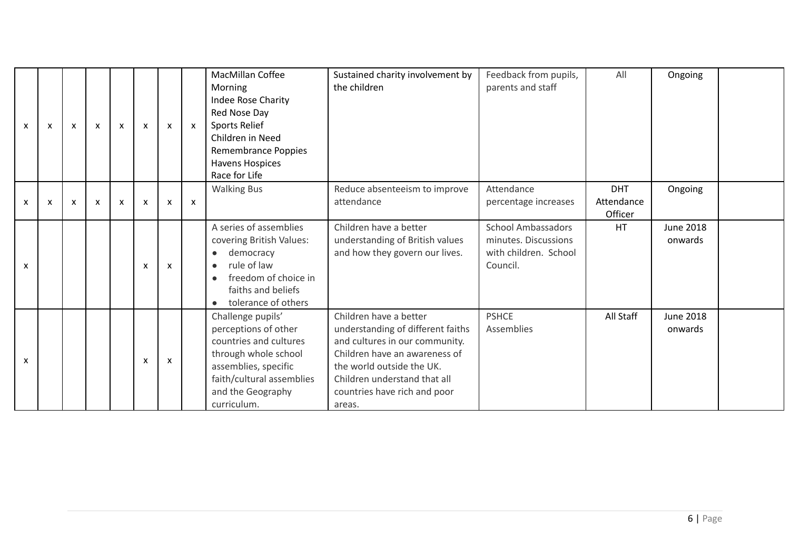| X                         | X | X | $\mathsf{x}$ | X | $\mathsf{x}$              | $\boldsymbol{\mathsf{x}}$ | X            | <b>MacMillan Coffee</b><br>Morning<br>Indee Rose Charity<br>Red Nose Day<br>Sports Relief<br>Children in Need<br>Remembrance Poppies<br>Havens Hospices<br>Race for Life             | Sustained charity involvement by<br>the children                                                                                                                                                                                      | Feedback from pupils,<br>parents and staff                                             | All                                 | Ongoing                     |  |
|---------------------------|---|---|--------------|---|---------------------------|---------------------------|--------------|--------------------------------------------------------------------------------------------------------------------------------------------------------------------------------------|---------------------------------------------------------------------------------------------------------------------------------------------------------------------------------------------------------------------------------------|----------------------------------------------------------------------------------------|-------------------------------------|-----------------------------|--|
| $\boldsymbol{\mathsf{x}}$ | X | X | $\mathsf{x}$ | X | $\mathsf{x}$              | $\boldsymbol{\mathsf{x}}$ | $\mathsf{x}$ | <b>Walking Bus</b>                                                                                                                                                                   | Reduce absenteeism to improve<br>attendance                                                                                                                                                                                           | Attendance<br>percentage increases                                                     | <b>DHT</b><br>Attendance<br>Officer | Ongoing                     |  |
| $\boldsymbol{\mathsf{x}}$ |   |   |              |   | x                         | $\boldsymbol{\mathsf{x}}$ |              | A series of assemblies<br>covering British Values:<br>democracy<br>$\bullet$<br>rule of law<br>freedom of choice in<br>faiths and beliefs<br>tolerance of others                     | Children have a better<br>understanding of British values<br>and how they govern our lives.                                                                                                                                           | <b>School Ambassadors</b><br>minutes. Discussions<br>with children. School<br>Council. | HT.                                 | <b>June 2018</b><br>onwards |  |
| $\boldsymbol{\mathsf{x}}$ |   |   |              |   | $\boldsymbol{\mathsf{x}}$ | $\boldsymbol{\mathsf{x}}$ |              | Challenge pupils'<br>perceptions of other<br>countries and cultures<br>through whole school<br>assemblies, specific<br>faith/cultural assemblies<br>and the Geography<br>curriculum. | Children have a better<br>understanding of different faiths<br>and cultures in our community.<br>Children have an awareness of<br>the world outside the UK.<br>Children understand that all<br>countries have rich and poor<br>areas. | <b>PSHCE</b><br>Assemblies                                                             | All Staff                           | <b>June 2018</b><br>onwards |  |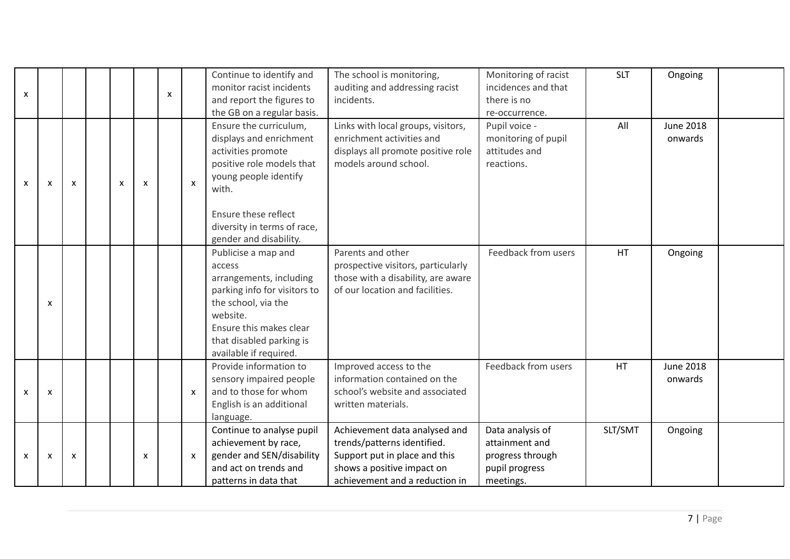| x |   |   |   |   | X |                           | Continue to identify and<br>monitor racist incidents<br>and report the figures to<br>the GB on a regular basis.                                                                                                                        | The school is monitoring,<br>auditing and addressing racist<br>incidents.                                                                                     | Monitoring of racist<br>incidences and that<br>there is no<br>re-occurrence.          | <b>SLT</b> | Ongoing                     |  |
|---|---|---|---|---|---|---------------------------|----------------------------------------------------------------------------------------------------------------------------------------------------------------------------------------------------------------------------------------|---------------------------------------------------------------------------------------------------------------------------------------------------------------|---------------------------------------------------------------------------------------|------------|-----------------------------|--|
| x | x | x | х | x |   | $\mathsf{x}$              | Ensure the curriculum,<br>displays and enrichment<br>activities promote<br>positive role models that<br>young people identify<br>with.<br>Ensure these reflect<br>diversity in terms of race,                                          | Links with local groups, visitors,<br>enrichment activities and<br>displays all promote positive role<br>models around school.                                | Pupil voice -<br>monitoring of pupil<br>attitudes and<br>reactions.                   | All        | <b>June 2018</b><br>onwards |  |
|   | x |   |   |   |   |                           | gender and disability.<br>Publicise a map and<br>access<br>arrangements, including<br>parking info for visitors to<br>the school, via the<br>website.<br>Ensure this makes clear<br>that disabled parking is<br>available if required. | Parents and other<br>prospective visitors, particularly<br>those with a disability, are aware<br>of our location and facilities.                              | Feedback from users                                                                   | HT         | Ongoing                     |  |
| X | х |   |   |   |   | $\boldsymbol{\mathsf{x}}$ | Provide information to<br>sensory impaired people<br>and to those for whom<br>English is an additional<br>language.                                                                                                                    | Improved access to the<br>information contained on the<br>school's website and associated<br>written materials.                                               | Feedback from users                                                                   | HT         | <b>June 2018</b><br>onwards |  |
| x | x | x |   | X |   | $\boldsymbol{\mathsf{x}}$ | Continue to analyse pupil<br>achievement by race,<br>gender and SEN/disability<br>and act on trends and<br>patterns in data that                                                                                                       | Achievement data analysed and<br>trends/patterns identified.<br>Support put in place and this<br>shows a positive impact on<br>achievement and a reduction in | Data analysis of<br>attainment and<br>progress through<br>pupil progress<br>meetings. | SLT/SMT    | Ongoing                     |  |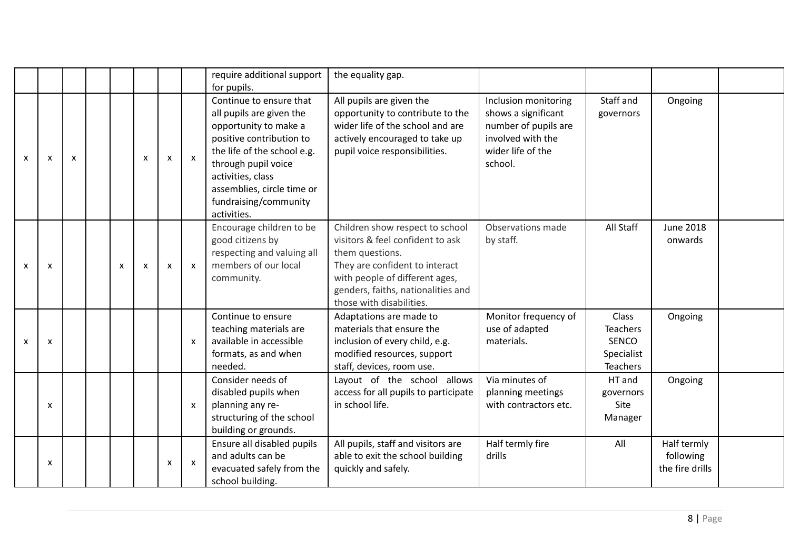|              |                           |   |   |   |                           |                           | require additional support<br>for pupils.                                                                                                                                                                                                                 | the equality gap.                                                                                                                                                                                                            |                                                                                                                          |                                                                           |                                             |  |
|--------------|---------------------------|---|---|---|---------------------------|---------------------------|-----------------------------------------------------------------------------------------------------------------------------------------------------------------------------------------------------------------------------------------------------------|------------------------------------------------------------------------------------------------------------------------------------------------------------------------------------------------------------------------------|--------------------------------------------------------------------------------------------------------------------------|---------------------------------------------------------------------------|---------------------------------------------|--|
| X            | $\boldsymbol{\mathsf{x}}$ | X |   | X | $\pmb{\times}$            | $\boldsymbol{\mathsf{x}}$ | Continue to ensure that<br>all pupils are given the<br>opportunity to make a<br>positive contribution to<br>the life of the school e.g.<br>through pupil voice<br>activities, class<br>assemblies, circle time or<br>fundraising/community<br>activities. | All pupils are given the<br>opportunity to contribute to the<br>wider life of the school and are<br>actively encouraged to take up<br>pupil voice responsibilities.                                                          | Inclusion monitoring<br>shows a significant<br>number of pupils are<br>involved with the<br>wider life of the<br>school. | Staff and<br>governors                                                    | Ongoing                                     |  |
| $\mathsf{x}$ | $\boldsymbol{\mathsf{x}}$ |   | X | X | $\pmb{\times}$            | $\boldsymbol{\mathsf{x}}$ | Encourage children to be<br>good citizens by<br>respecting and valuing all<br>members of our local<br>community.                                                                                                                                          | Children show respect to school<br>visitors & feel confident to ask<br>them questions.<br>They are confident to interact<br>with people of different ages,<br>genders, faiths, nationalities and<br>those with disabilities. | Observations made<br>by staff.                                                                                           | All Staff                                                                 | <b>June 2018</b><br>onwards                 |  |
| X            | X                         |   |   |   |                           | X                         | Continue to ensure<br>teaching materials are<br>available in accessible<br>formats, as and when<br>needed.                                                                                                                                                | Adaptations are made to<br>materials that ensure the<br>inclusion of every child, e.g.<br>modified resources, support<br>staff, devices, room use.                                                                           | Monitor frequency of<br>use of adapted<br>materials.                                                                     | Class<br><b>Teachers</b><br><b>SENCO</b><br>Specialist<br><b>Teachers</b> | Ongoing                                     |  |
|              | X                         |   |   |   |                           | $\boldsymbol{\mathsf{x}}$ | Consider needs of<br>disabled pupils when<br>planning any re-<br>structuring of the school<br>building or grounds.                                                                                                                                        | Layout of the school allows<br>access for all pupils to participate<br>in school life.                                                                                                                                       | Via minutes of<br>planning meetings<br>with contractors etc.                                                             | HT and<br>governors<br>Site<br>Manager                                    | Ongoing                                     |  |
|              | x                         |   |   |   | $\boldsymbol{\mathsf{x}}$ | $\boldsymbol{\mathsf{x}}$ | Ensure all disabled pupils<br>and adults can be<br>evacuated safely from the<br>school building.                                                                                                                                                          | All pupils, staff and visitors are<br>able to exit the school building<br>quickly and safely.                                                                                                                                | Half termly fire<br>drills                                                                                               | All                                                                       | Half termly<br>following<br>the fire drills |  |